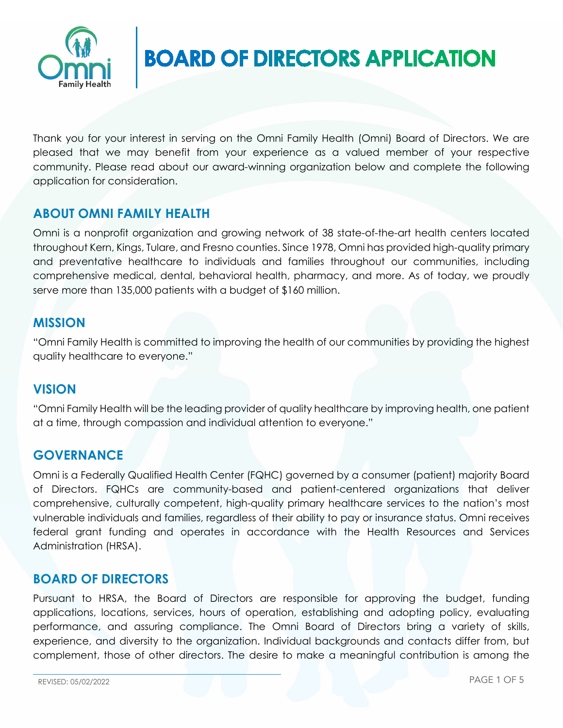

# **BOARD OF DIRECTORS APPLICATION**

Thank you for your interest in serving on the Omni Family Health (Omni) Board of Directors. We are pleased that we may benefit from your experience as a valued member of your respective community. Please read about our award-winning organization below and complete the following application for consideration.

## **ABOUT OMNI FAMILY HEALTH**

Omni is a nonprofit organization and growing network of 38 state-of-the-art health centers located throughout Kern, Kings, Tulare, and Fresno counties. Since 1978, Omni has provided high-quality primary and preventative healthcare to individuals and families throughout our communities, including comprehensive medical, dental, behavioral health, pharmacy, and more. As of today, we proudly serve more than 135,000 patients with a budget of \$160 million.

## **MISSION**

"Omni Family Health is committed to improving the health of our communities by providing the highest quality healthcare to everyone."

## **VISION**

"Omni Family Health will be the leading provider of quality healthcare by improving health, one patient at a time, through compassion and individual attention to everyone."

## **GOVERNANCE**

Omni is a Federally Qualified Health Center (FQHC) governed by a consumer (patient) majority Board of Directors. FQHCs are community-based and patient-centered organizations that deliver comprehensive, culturally competent, high-quality primary healthcare services to the nation's most vulnerable individuals and families, regardless of their ability to pay or insurance status. Omni receives federal grant funding and operates in accordance with the Health Resources and Services Administration (HRSA).

## **BOARD OF DIRECTORS**

Pursuant to HRSA, the Board of Directors are responsible for approving the budget, funding applications, locations, services, hours of operation, establishing and adopting policy, evaluating performance, and assuring compliance. The Omni Board of Directors bring a variety of skills, experience, and diversity to the organization. Individual backgrounds and contacts differ from, but complement, those of other directors. The desire to make a meaningful contribution is among the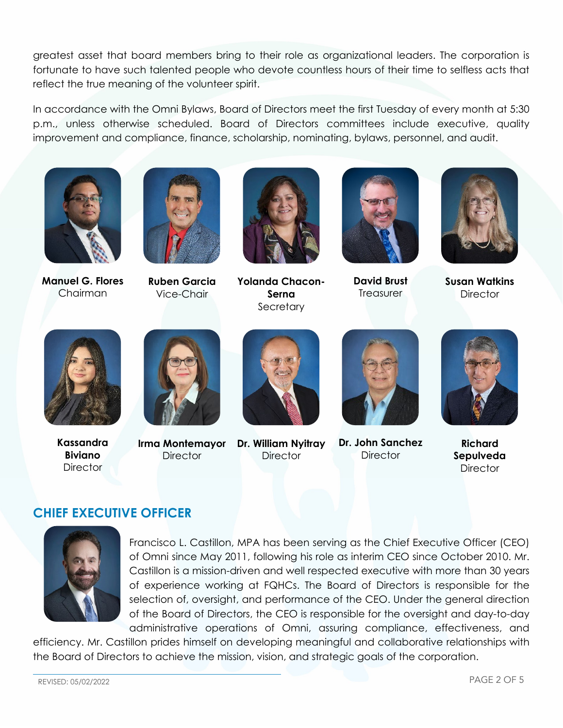greatest asset that board members bring to their role as organizational leaders. The corporation is fortunate to have such talented people who devote countless hours of their time to selfless acts that reflect the true meaning of the volunteer spirit.

In accordance with the Omni Bylaws, Board of Directors meet the first Tuesday of every month at 5:30 p.m., unless otherwise scheduled. Board of Directors committees include executive, quality improvement and compliance, finance, scholarship, nominating, bylaws, personnel, and audit.



**Manuel G. Flores** Chairman



**Ruben Garcia** Vice-Chair



**Yolanda Chacon-Serna Secretary** 



**David Brust Treasurer** 



**Susan Watkins Director** 



**Kassandra Biviano Director** 



**Irma Montemayor Director** 



**Dr. William Nyitray Director** 



**Dr. John Sanchez Director** 



**Richard Sepulveda Director** 

## **CHIEF EXECUTIVE OFFICER**



Francisco L. Castillon, MPA has been serving as the Chief Executive Officer (CEO) of Omni since May 2011, following his role as interim CEO since October 2010. Mr. Castillon is a mission-driven and well respected executive with more than 30 years of experience working at FQHCs. The Board of Directors is responsible for the selection of, oversight, and performance of the CEO. Under the general direction of the Board of Directors, the CEO is responsible for the oversight and day-to-day administrative operations of Omni, assuring compliance, effectiveness, and

efficiency. Mr. Castillon prides himself on developing meaningful and collaborative relationships with the Board of Directors to achieve the mission, vision, and strategic goals of the corporation.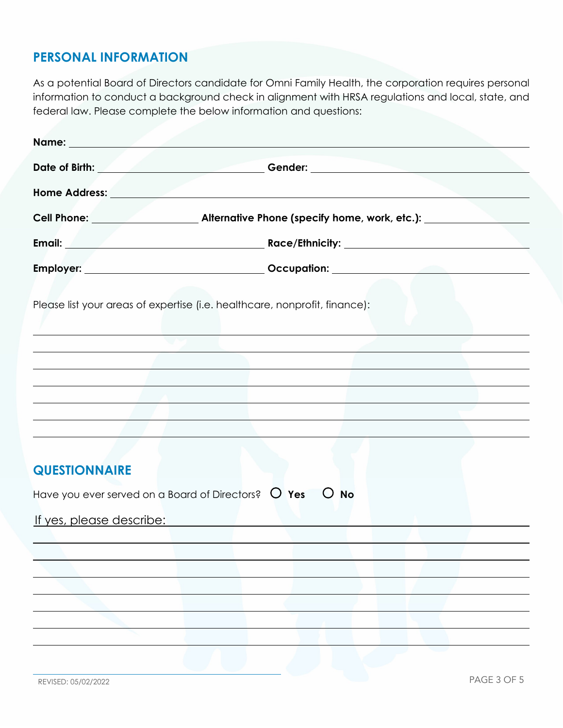## **PERSONAL INFORMATION**

As a potential Board of Directors candidate for Omni Family Health, the corporation requires personal information to conduct a background check in alignment with HRSA regulations and local, state, and federal law. Please complete the below information and questions:

| Name: Name                          |                                                                                                                                                                                                                                |
|-------------------------------------|--------------------------------------------------------------------------------------------------------------------------------------------------------------------------------------------------------------------------------|
|                                     | Date of Birth: Contact Contact Contact Contact Contact Contact Contact Contact Contact Contact Contact Contact Contact Contact Contact Contact Contact Contact Contact Contact Contact Contact Contact Contact Contact Contact |
|                                     |                                                                                                                                                                                                                                |
|                                     |                                                                                                                                                                                                                                |
|                                     |                                                                                                                                                                                                                                |
|                                     |                                                                                                                                                                                                                                |
| the contract of the contract of the | Please list your areas of expertise (i.e. healthcare, nonprofit, finance):                                                                                                                                                     |
|                                     |                                                                                                                                                                                                                                |
|                                     |                                                                                                                                                                                                                                |
|                                     |                                                                                                                                                                                                                                |
|                                     |                                                                                                                                                                                                                                |
|                                     |                                                                                                                                                                                                                                |
| <b>QUESTIONNAIRE</b>                |                                                                                                                                                                                                                                |
|                                     | Have you ever served on a Board of Directors? $\circ$ Yes $\circ$ No                                                                                                                                                           |
|                                     |                                                                                                                                                                                                                                |
|                                     |                                                                                                                                                                                                                                |
|                                     |                                                                                                                                                                                                                                |
|                                     |                                                                                                                                                                                                                                |
| <u>If yes, please describe:</u>     |                                                                                                                                                                                                                                |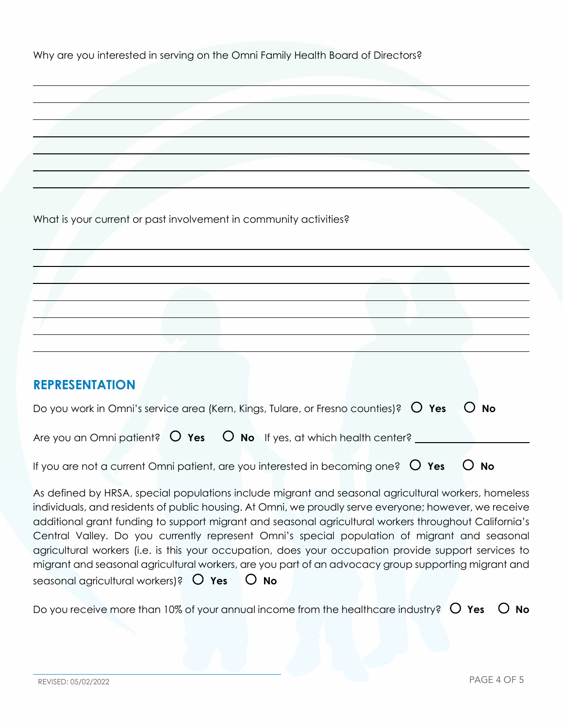Why are you interested in serving on the Omni Family Health Board of Directors?

What is your current or past involvement in community activities?

## **REPRESENTATION**

| Do you work in Omni's service area (Kern, Kings, Tulare, or Fresno counties)? $O$ Yes $O$ No      |  |
|---------------------------------------------------------------------------------------------------|--|
| Are you an Omni patient? $\bigcirc$ Yes $\bigcirc$ No If yes, at which health center?             |  |
| If you are not a current Omni patient, are you interested in becoming one? $\circ$ Yes $\circ$ No |  |

As defined by HRSA, special populations include migrant and seasonal agricultural workers, homeless individuals, and residents of public housing. At Omni, we proudly serve everyone; however, we receive additional grant funding to support migrant and seasonal agricultural workers throughout California's Central Valley. Do you currently represent Omni's special population of migrant and seasonal agricultural workers (i.e. is this your occupation, does your occupation provide support services to migrant and seasonal agricultural workers, are you part of an advocacy group supporting migrant and seasonal agricultural workers)?  **Yes No**

Do you receive more than 10% of your annual income from the healthcare industry?  $\circ$  Yes  $\circ$  No